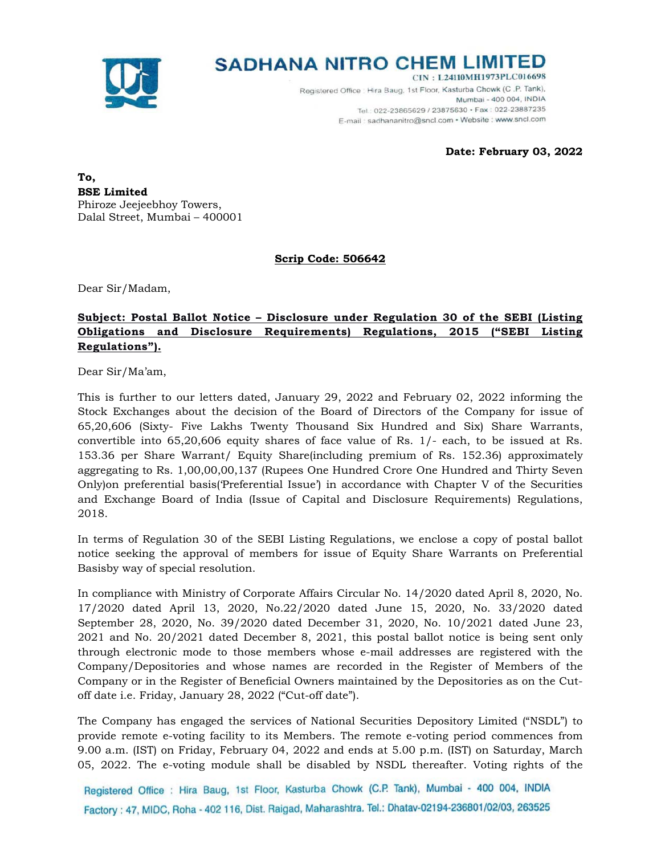

# **SADHANA NITRO CHEM LIMITED**

CIN: L24110MH1973PLC016698 Registered Office : Hira Baug, 1st Floor, Kasturba Chowk (C.P. Tank), Mumbai - 400 004, INDIA Tel.: 022-23865629 / 23875630 · Fax: 022-23887235 E-mail: sadhananitro@sncl.com · Website: www.sncl.com

**Date: February 03, 2022** 

**To, BSE Limited** Phiroze Jeejeebhoy Towers, Dalal Street, Mumbai – 400001

**Scrip Code: 506642** 

Dear Sir/Madam,

## **Subject: Postal Ballot Notice – Disclosure under Regulation 30 of the SEBI (Listing Obligations and Disclosure Requirements) Regulations, 2015 ("SEBI Listing Regulations").**

Dear Sir/Ma'am,

This is further to our letters dated, January 29, 2022 and February 02, 2022 informing the Stock Exchanges about the decision of the Board of Directors of the Company for issue of 65,20,606 (Sixty- Five Lakhs Twenty Thousand Six Hundred and Six) Share Warrants, convertible into 65,20,606 equity shares of face value of Rs. 1/- each, to be issued at Rs. 153.36 per Share Warrant/ Equity Share(including premium of Rs. 152.36) approximately aggregating to Rs. 1,00,00,00,137 (Rupees One Hundred Crore One Hundred and Thirty Seven Only)on preferential basis('Preferential Issue') in accordance with Chapter V of the Securities and Exchange Board of India (Issue of Capital and Disclosure Requirements) Regulations, 2018.

In terms of Regulation 30 of the SEBI Listing Regulations, we enclose a copy of postal ballot notice seeking the approval of members for issue of Equity Share Warrants on Preferential Basisby way of special resolution.

In compliance with Ministry of Corporate Affairs Circular No. 14/2020 dated April 8, 2020, No. 17/2020 dated April 13, 2020, No.22/2020 dated June 15, 2020, No. 33/2020 dated September 28, 2020, No. 39/2020 dated December 31, 2020, No. 10/2021 dated June 23, 2021 and No. 20/2021 dated December 8, 2021, this postal ballot notice is being sent only through electronic mode to those members whose e-mail addresses are registered with the Company/Depositories and whose names are recorded in the Register of Members of the Company or in the Register of Beneficial Owners maintained by the Depositories as on the Cutoff date i.e. Friday, January 28, 2022 ("Cut-off date").

The Company has engaged the services of National Securities Depository Limited ("NSDL") to provide remote e-voting facility to its Members. The remote e-voting period commences from 9.00 a.m. (IST) on Friday, February 04, 2022 and ends at 5.00 p.m. (IST) on Saturday, March 05, 2022. The e-voting module shall be disabled by NSDL thereafter. Voting rights of the

Registered Office : Hira Baug, 1st Floor, Kasturba Chowk (C.P. Tank), Mumbai - 400 004, INDIA Factory: 47, MIDC, Roha - 402 116, Dist. Raigad, Maharashtra. Tel.: Dhatav-02194-236801/02/03, 263525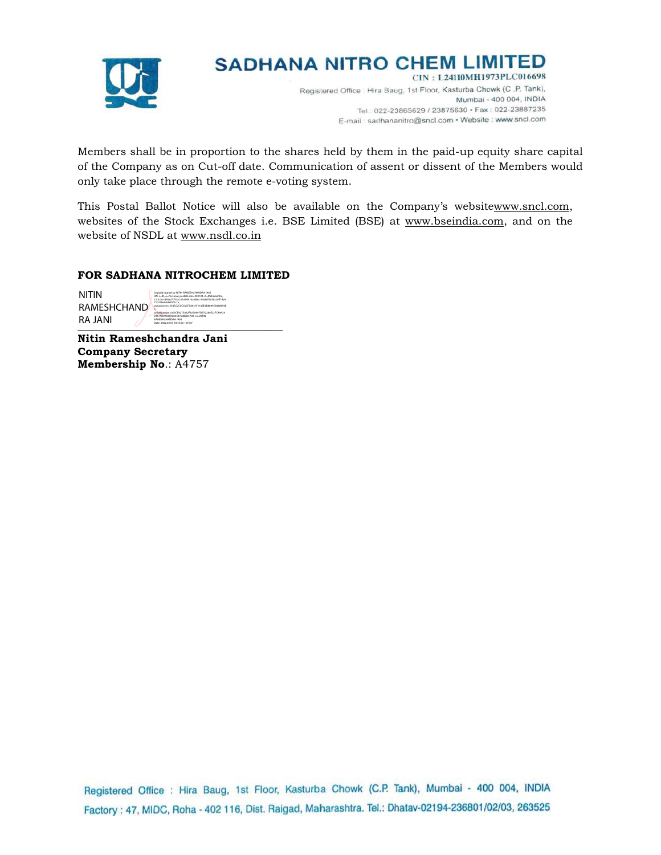

## **SADHANA NITRO CHEM LIMITED**

CIN: L24110MH1973PLC016698 Registered Office : Hira Baug, 1st Floor, Kasturba Chowk (C.P. Tank), Mumbai - 400 004, INDIA Tel.: 022-23865629 / 23875630 · Fax: 022-23887235 E-mail: sadhananitro@sncl.com · Website: www.sncl.com

Members shall be in proportion to the shares held by them in the paid-up equity share capital of the Company as on Cut-off date. Communication of assent or dissent of the Members would only take place through the remote e-voting system.

This Postal Ballot Notice will also be available on the Company's websitewww.sncl.com, websites of the Stock Exchanges i.e. BSE Limited (BSE) at www.bseindia.com, and on the website of NSDL at www.nsdl.co.in

## **FOR SADHANA NITROCHEM LIMITED**

| <b>NITIN</b>                  | Digitally signed by NITIN RAMESHCHANDRA JAN<br>DN: c=IN, o=Personal, postalCode=400104, st=Maharashtra,<br>2.5.4.20=845arf5739v16165491haaf66r1f4a9rf7lvf9a20ff14a9                                                               |
|-------------------------------|-----------------------------------------------------------------------------------------------------------------------------------------------------------------------------------------------------------------------------------|
| <b>RAMESHCHAND</b><br>RA JANI | 710278e0dd635f2c1a.<br>pseudonym=SS4ECCCSCS6CFSA931F116BE1B8899C83868S9E<br>serialNumher=003CF427S&32F8228902D822280F22FC49&29<br>2317AD27B15020444760BSDC700.cn=NfTIN<br>RAMESHCHANDRA IANI<br>Date: 2022.02.03.18:43:50.405'30" |

**Nitin Rameshchandra Jani Company Secretary Membership No**.: A4757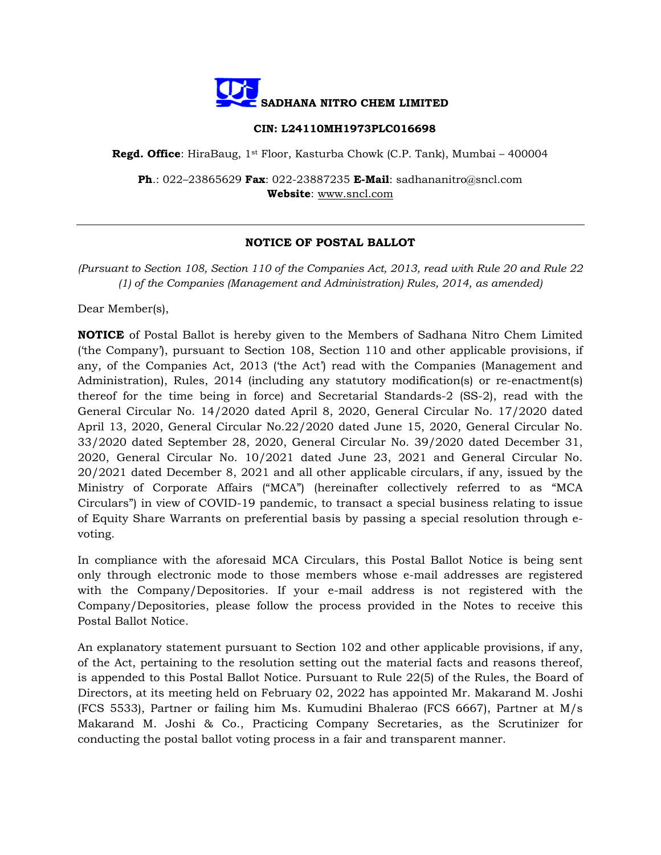

#### **CIN: L24110MH1973PLC016698**

**Regd. Office**: HiraBaug, 1st Floor, Kasturba Chowk (C.P. Tank), Mumbai – 400004

**Ph**.: 022–23865629 **Fax**: 022-23887235 **E-Mail**: sadhananitro@sncl.com **Website**: www.sncl.com

## **NOTICE OF POSTAL BALLOT**

*(Pursuant to Section 108, Section 110 of the Companies Act, 2013, read with Rule 20 and Rule 22 (1) of the Companies (Management and Administration) Rules, 2014, as amended)* 

Dear Member(s),

**NOTICE** of Postal Ballot is hereby given to the Members of Sadhana Nitro Chem Limited ('the Company'), pursuant to Section 108, Section 110 and other applicable provisions, if any, of the Companies Act, 2013 ('the Act') read with the Companies (Management and Administration), Rules, 2014 (including any statutory modification(s) or re-enactment(s) thereof for the time being in force) and Secretarial Standards-2 (SS-2), read with the General Circular No. 14/2020 dated April 8, 2020, General Circular No. 17/2020 dated April 13, 2020, General Circular No.22/2020 dated June 15, 2020, General Circular No. 33/2020 dated September 28, 2020, General Circular No. 39/2020 dated December 31, 2020, General Circular No. 10/2021 dated June 23, 2021 and General Circular No. 20/2021 dated December 8, 2021 and all other applicable circulars, if any, issued by the Ministry of Corporate Affairs ("MCA") (hereinafter collectively referred to as "MCA Circulars") in view of COVID-19 pandemic, to transact a special business relating to issue of Equity Share Warrants on preferential basis by passing a special resolution through evoting.

In compliance with the aforesaid MCA Circulars, this Postal Ballot Notice is being sent only through electronic mode to those members whose e-mail addresses are registered with the Company/Depositories. If your e-mail address is not registered with the Company/Depositories, please follow the process provided in the Notes to receive this Postal Ballot Notice.

An explanatory statement pursuant to Section 102 and other applicable provisions, if any, of the Act, pertaining to the resolution setting out the material facts and reasons thereof, is appended to this Postal Ballot Notice. Pursuant to Rule 22(5) of the Rules, the Board of Directors, at its meeting held on February 02, 2022 has appointed Mr. Makarand M. Joshi (FCS 5533), Partner or failing him Ms. Kumudini Bhalerao (FCS 6667), Partner at M/s Makarand M. Joshi & Co., Practicing Company Secretaries, as the Scrutinizer for conducting the postal ballot voting process in a fair and transparent manner.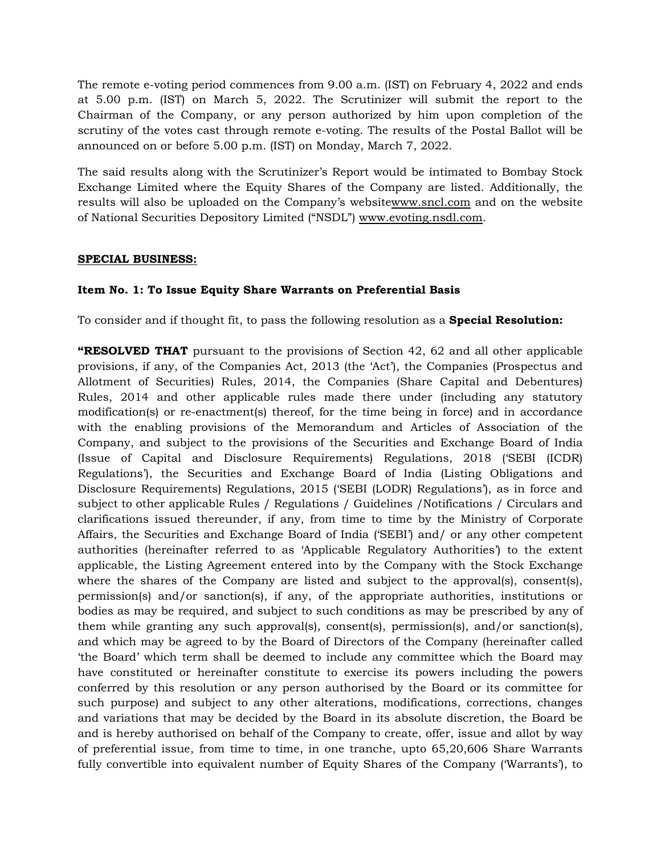The remote e-voting period commences from 9.00 a.m. (IST) on February 4, 2022 and ends at 5.00 p.m. (IST) on March 5, 2022. The Scrutinizer will submit the report to the Chairman of the Company, or any person authorized by him upon completion of the scrutiny of the votes cast through remote e-voting. The results of the Postal Ballot will be announced on or before 5.00 p.m. (IST) on Monday, March 7, 2022.

The said results along with the Scrutinizer's Report would be intimated to Bombay Stock Exchange Limited where the Equity Shares of the Company are listed. Additionally, the results will also be uploaded on the Company's websitewww.sncl.com and on the website of National Securities Depository Limited ("NSDL") www.evoting.nsdl.com.

## **SPECIAL BUSINESS:**

## **Item No. 1: To Issue Equity Share Warrants on Preferential Basis**

To consider and if thought fit, to pass the following resolution as a **Special Resolution:** 

**"RESOLVED THAT** pursuant to the provisions of Section 42, 62 and all other applicable provisions, if any, of the Companies Act, 2013 (the 'Act'), the Companies (Prospectus and Allotment of Securities) Rules, 2014, the Companies (Share Capital and Debentures) Rules, 2014 and other applicable rules made there under (including any statutory modification(s) or re-enactment(s) thereof, for the time being in force) and in accordance with the enabling provisions of the Memorandum and Articles of Association of the Company, and subject to the provisions of the Securities and Exchange Board of India (Issue of Capital and Disclosure Requirements) Regulations, 2018 ('SEBI (ICDR) Regulations'), the Securities and Exchange Board of India (Listing Obligations and Disclosure Requirements) Regulations, 2015 ('SEBI (LODR) Regulations'), as in force and subject to other applicable Rules / Regulations / Guidelines /Notifications / Circulars and clarifications issued thereunder, if any, from time to time by the Ministry of Corporate Affairs, the Securities and Exchange Board of India ('SEBI') and/ or any other competent authorities (hereinafter referred to as 'Applicable Regulatory Authorities') to the extent applicable, the Listing Agreement entered into by the Company with the Stock Exchange where the shares of the Company are listed and subject to the approval(s), consent(s), permission(s) and/or sanction(s), if any, of the appropriate authorities, institutions or bodies as may be required, and subject to such conditions as may be prescribed by any of them while granting any such approval(s), consent(s), permission(s), and/or sanction(s), and which may be agreed to by the Board of Directors of the Company (hereinafter called 'the Board' which term shall be deemed to include any committee which the Board may have constituted or hereinafter constitute to exercise its powers including the powers conferred by this resolution or any person authorised by the Board or its committee for such purpose) and subject to any other alterations, modifications, corrections, changes and variations that may be decided by the Board in its absolute discretion, the Board be and is hereby authorised on behalf of the Company to create, offer, issue and allot by way of preferential issue, from time to time, in one tranche, upto 65,20,606 Share Warrants fully convertible into equivalent number of Equity Shares of the Company ('Warrants'), to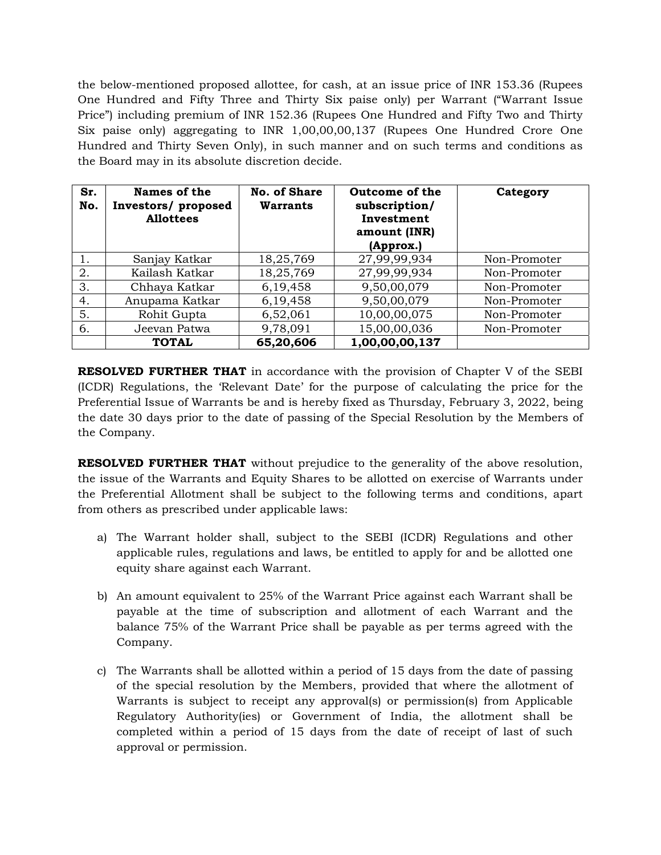the below-mentioned proposed allottee, for cash, at an issue price of INR 153.36 (Rupees One Hundred and Fifty Three and Thirty Six paise only) per Warrant ("Warrant Issue Price") including premium of INR 152.36 (Rupees One Hundred and Fifty Two and Thirty Six paise only) aggregating to INR 1,00,00,00,137 (Rupees One Hundred Crore One Hundred and Thirty Seven Only), in such manner and on such terms and conditions as the Board may in its absolute discretion decide.

| Sr.<br>No. | Names of the<br>Investors/ proposed<br><b>Allottees</b> | No. of Share<br><b>Warrants</b> | Outcome of the<br>subscription/<br>Investment<br>amount (INR)<br>(Approx.) | Category     |
|------------|---------------------------------------------------------|---------------------------------|----------------------------------------------------------------------------|--------------|
|            | Sanjay Katkar                                           | 18,25,769                       | 27,99,99,934                                                               | Non-Promoter |
| 2.         | Kailash Katkar                                          | 18,25,769                       | 27,99,99,934                                                               | Non-Promoter |
| 3.         | Chhaya Katkar                                           | 6,19,458                        | 9,50,00,079                                                                | Non-Promoter |
| 4.         | Anupama Katkar                                          | 6,19,458                        | 9,50,00,079                                                                | Non-Promoter |
| 5.         | Rohit Gupta                                             | 6,52,061                        | 10,00,00,075                                                               | Non-Promoter |
| 6.         | Jeevan Patwa                                            | 9,78,091                        | 15,00,00,036                                                               | Non-Promoter |
|            | <b>TOTAL</b>                                            | 65,20,606                       | 1,00,00,00,137                                                             |              |

**RESOLVED FURTHER THAT** in accordance with the provision of Chapter V of the SEBI (ICDR) Regulations, the 'Relevant Date' for the purpose of calculating the price for the Preferential Issue of Warrants be and is hereby fixed as Thursday, February 3, 2022, being the date 30 days prior to the date of passing of the Special Resolution by the Members of the Company.

**RESOLVED FURTHER THAT** without prejudice to the generality of the above resolution, the issue of the Warrants and Equity Shares to be allotted on exercise of Warrants under the Preferential Allotment shall be subject to the following terms and conditions, apart from others as prescribed under applicable laws:

- a) The Warrant holder shall, subject to the SEBI (ICDR) Regulations and other applicable rules, regulations and laws, be entitled to apply for and be allotted one equity share against each Warrant.
- b) An amount equivalent to 25% of the Warrant Price against each Warrant shall be payable at the time of subscription and allotment of each Warrant and the balance 75% of the Warrant Price shall be payable as per terms agreed with the Company.
- c) The Warrants shall be allotted within a period of 15 days from the date of passing of the special resolution by the Members, provided that where the allotment of Warrants is subject to receipt any approval(s) or permission(s) from Applicable Regulatory Authority(ies) or Government of India, the allotment shall be completed within a period of 15 days from the date of receipt of last of such approval or permission.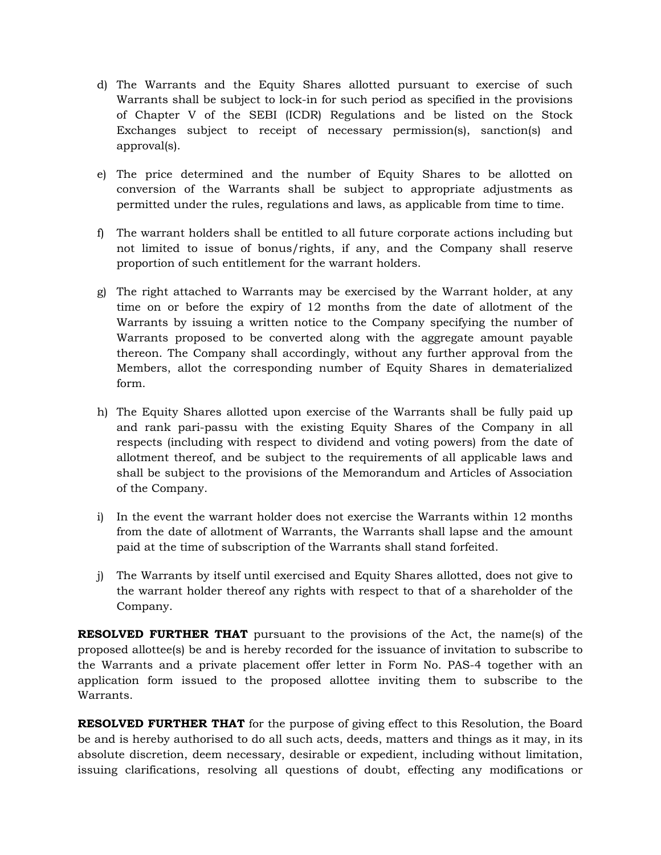- d) The Warrants and the Equity Shares allotted pursuant to exercise of such Warrants shall be subject to lock-in for such period as specified in the provisions of Chapter V of the SEBI (ICDR) Regulations and be listed on the Stock Exchanges subject to receipt of necessary permission(s), sanction(s) and approval(s).
- e) The price determined and the number of Equity Shares to be allotted on conversion of the Warrants shall be subject to appropriate adjustments as permitted under the rules, regulations and laws, as applicable from time to time.
- f) The warrant holders shall be entitled to all future corporate actions including but not limited to issue of bonus/rights, if any, and the Company shall reserve proportion of such entitlement for the warrant holders.
- g) The right attached to Warrants may be exercised by the Warrant holder, at any time on or before the expiry of 12 months from the date of allotment of the Warrants by issuing a written notice to the Company specifying the number of Warrants proposed to be converted along with the aggregate amount payable thereon. The Company shall accordingly, without any further approval from the Members, allot the corresponding number of Equity Shares in dematerialized form.
- h) The Equity Shares allotted upon exercise of the Warrants shall be fully paid up and rank pari-passu with the existing Equity Shares of the Company in all respects (including with respect to dividend and voting powers) from the date of allotment thereof, and be subject to the requirements of all applicable laws and shall be subject to the provisions of the Memorandum and Articles of Association of the Company.
- i) In the event the warrant holder does not exercise the Warrants within 12 months from the date of allotment of Warrants, the Warrants shall lapse and the amount paid at the time of subscription of the Warrants shall stand forfeited.
- j) The Warrants by itself until exercised and Equity Shares allotted, does not give to the warrant holder thereof any rights with respect to that of a shareholder of the Company.

**RESOLVED FURTHER THAT** pursuant to the provisions of the Act, the name(s) of the proposed allottee(s) be and is hereby recorded for the issuance of invitation to subscribe to the Warrants and a private placement offer letter in Form No. PAS-4 together with an application form issued to the proposed allottee inviting them to subscribe to the Warrants.

**RESOLVED FURTHER THAT** for the purpose of giving effect to this Resolution, the Board be and is hereby authorised to do all such acts, deeds, matters and things as it may, in its absolute discretion, deem necessary, desirable or expedient, including without limitation, issuing clarifications, resolving all questions of doubt, effecting any modifications or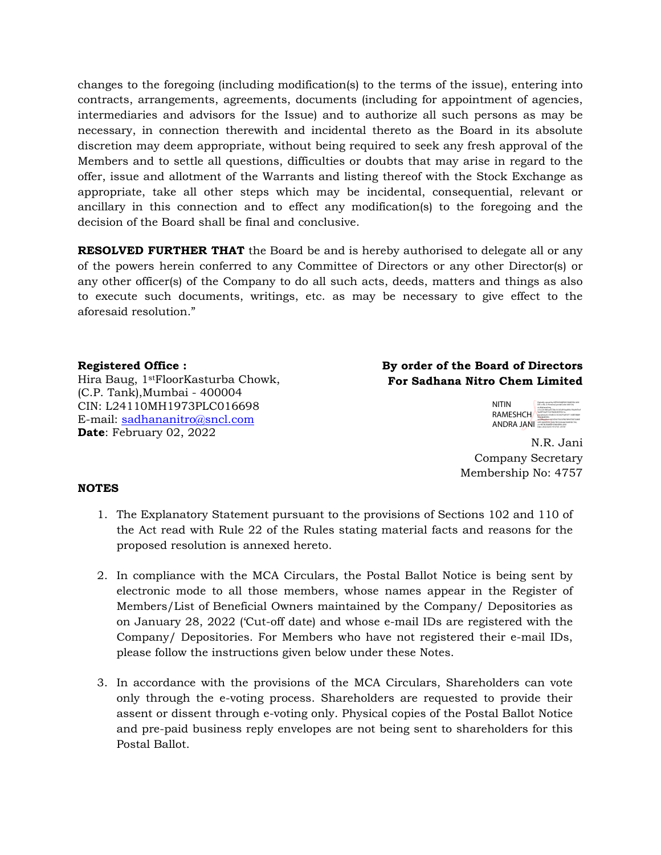changes to the foregoing (including modification(s) to the terms of the issue), entering into contracts, arrangements, agreements, documents (including for appointment of agencies, intermediaries and advisors for the Issue) and to authorize all such persons as may be necessary, in connection therewith and incidental thereto as the Board in its absolute discretion may deem appropriate, without being required to seek any fresh approval of the Members and to settle all questions, difficulties or doubts that may arise in regard to the offer, issue and allotment of the Warrants and listing thereof with the Stock Exchange as appropriate, take all other steps which may be incidental, consequential, relevant or ancillary in this connection and to effect any modification(s) to the foregoing and the decision of the Board shall be final and conclusive.

**RESOLVED FURTHER THAT** the Board be and is hereby authorised to delegate all or any of the powers herein conferred to any Committee of Directors or any other Director(s) or any other officer(s) of the Company to do all such acts, deeds, matters and things as also to execute such documents, writings, etc. as may be necessary to give effect to the aforesaid resolution."

#### **Registered Office :**

Hira Baug, 1stFloorKasturba Chowk, (C.P. Tank),Mumbai - 400004 CIN: L24110MH1973PLC016698 E-mail: sadhananitro@sncl.com **Date**: February 02, 2022

## **By order of the Board of Directors For Sadhana Nitro Chem Limited**

| NITIN      | Digitally signed by NTIN RAMESHCHANDRA, JAN.<br>DN: c=IN, o=Personal, postalCode=400104.<br>d-Maharashora.                                                                                       |
|------------|--------------------------------------------------------------------------------------------------------------------------------------------------------------------------------------------------|
| RAMESHCH   | 1 S.A. M., GASA/RETEN-SESSEGATINAMES/ MAINA/TIV/<br>9x20ff14a9710278e0dd635f2c1a.<br>psycologym-SS4ECCCSCS6CFSA921F116EE18889<br><b>POLINIESSEC</b><br>serialNumber+003CE427EA32F8278907D972280E |
| ANDRA JANI | 23FC49A292217AD276n5b2044476d6SDC700.<br>CO-NETIN RAMESHCHANDRA JANE<br>Date: 2022.02.03 19:37:03 +05'30"                                                                                        |

N.R. Jani Company Secretary Membership No: 4757

#### **NOTES**

- 1. The Explanatory Statement pursuant to the provisions of Sections 102 and 110 of the Act read with Rule 22 of the Rules stating material facts and reasons for the proposed resolution is annexed hereto.
- 2. In compliance with the MCA Circulars, the Postal Ballot Notice is being sent by electronic mode to all those members, whose names appear in the Register of Members/List of Beneficial Owners maintained by the Company/ Depositories as on January 28, 2022 ('Cut-off date) and whose e-mail IDs are registered with the Company/ Depositories. For Members who have not registered their e-mail IDs, please follow the instructions given below under these Notes.
- 3. In accordance with the provisions of the MCA Circulars, Shareholders can vote only through the e-voting process. Shareholders are requested to provide their assent or dissent through e-voting only. Physical copies of the Postal Ballot Notice and pre-paid business reply envelopes are not being sent to shareholders for this Postal Ballot.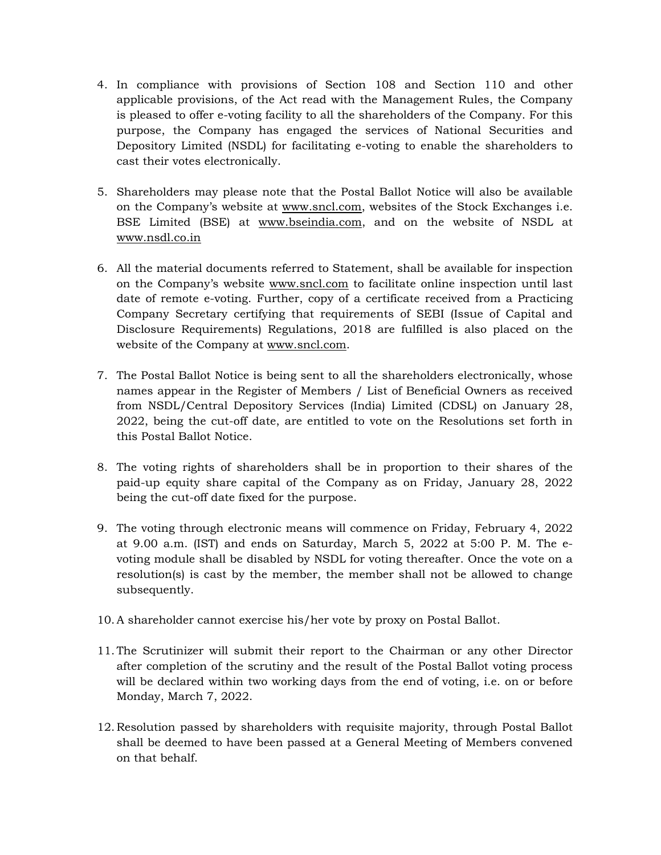- 4. In compliance with provisions of Section 108 and Section 110 and other applicable provisions, of the Act read with the Management Rules, the Company is pleased to offer e-voting facility to all the shareholders of the Company. For this purpose, the Company has engaged the services of National Securities and Depository Limited (NSDL) for facilitating e-voting to enable the shareholders to cast their votes electronically.
- 5. Shareholders may please note that the Postal Ballot Notice will also be available on the Company's website at www.sncl.com, websites of the Stock Exchanges i.e. BSE Limited (BSE) at www.bseindia.com, and on the website of NSDL at www.nsdl.co.in
- 6. All the material documents referred to Statement, shall be available for inspection on the Company's website www.sncl.com to facilitate online inspection until last date of remote e-voting. Further, copy of a certificate received from a Practicing Company Secretary certifying that requirements of SEBI (Issue of Capital and Disclosure Requirements) Regulations, 2018 are fulfilled is also placed on the website of the Company at www.sncl.com.
- 7. The Postal Ballot Notice is being sent to all the shareholders electronically, whose names appear in the Register of Members / List of Beneficial Owners as received from NSDL/Central Depository Services (India) Limited (CDSL) on January 28, 2022, being the cut-off date, are entitled to vote on the Resolutions set forth in this Postal Ballot Notice.
- 8. The voting rights of shareholders shall be in proportion to their shares of the paid-up equity share capital of the Company as on Friday, January 28, 2022 being the cut-off date fixed for the purpose.
- 9. The voting through electronic means will commence on Friday, February 4, 2022 at 9.00 a.m. (IST) and ends on Saturday, March 5, 2022 at 5:00 P. M. The evoting module shall be disabled by NSDL for voting thereafter. Once the vote on a resolution(s) is cast by the member, the member shall not be allowed to change subsequently.
- 10.A shareholder cannot exercise his/her vote by proxy on Postal Ballot.
- 11.The Scrutinizer will submit their report to the Chairman or any other Director after completion of the scrutiny and the result of the Postal Ballot voting process will be declared within two working days from the end of voting, i.e. on or before Monday, March 7, 2022.
- 12. Resolution passed by shareholders with requisite majority, through Postal Ballot shall be deemed to have been passed at a General Meeting of Members convened on that behalf.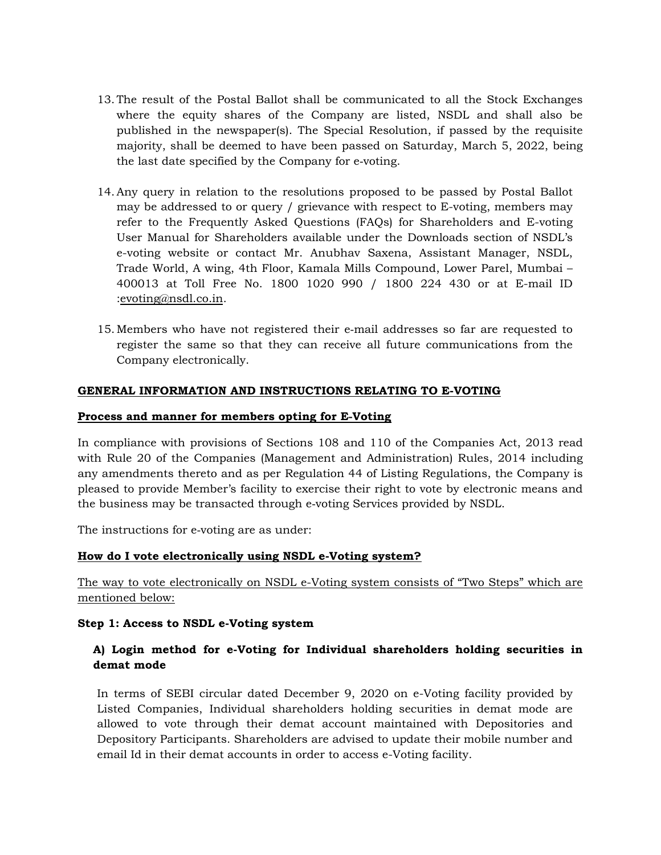- 13.The result of the Postal Ballot shall be communicated to all the Stock Exchanges where the equity shares of the Company are listed, NSDL and shall also be published in the newspaper(s). The Special Resolution, if passed by the requisite majority, shall be deemed to have been passed on Saturday, March 5, 2022, being the last date specified by the Company for e‐voting.
- 14.Any query in relation to the resolutions proposed to be passed by Postal Ballot may be addressed to or query / grievance with respect to E-voting, members may refer to the Frequently Asked Questions (FAQs) for Shareholders and E-voting User Manual for Shareholders available under the Downloads section of NSDL's e-voting website or contact Mr. Anubhav Saxena, Assistant Manager, NSDL, Trade World, A wing, 4th Floor, Kamala Mills Compound, Lower Parel, Mumbai – 400013 at Toll Free No. 1800 1020 990 / 1800 224 430 or at E-mail ID :evoting@nsdl.co.in.
- 15.Members who have not registered their e‐mail addresses so far are requested to register the same so that they can receive all future communications from the Company electronically.

## **GENERAL INFORMATION AND INSTRUCTIONS RELATING TO E-VOTING**

## **Process and manner for members opting for E‐Voting**

In compliance with provisions of Sections 108 and 110 of the Companies Act, 2013 read with Rule 20 of the Companies (Management and Administration) Rules, 2014 including any amendments thereto and as per Regulation 44 of Listing Regulations, the Company is pleased to provide Member's facility to exercise their right to vote by electronic means and the business may be transacted through e‐voting Services provided by NSDL.

The instructions for e-voting are as under:

## **How do I vote electronically using NSDL e-Voting system?**

The way to vote electronically on NSDL e-Voting system consists of "Two Steps" which are mentioned below:

## **Step 1: Access to NSDL e-Voting system**

## **A) Login method for e-Voting for Individual shareholders holding securities in demat mode**

 In terms of SEBI circular dated December 9, 2020 on e-Voting facility provided by Listed Companies, Individual shareholders holding securities in demat mode are allowed to vote through their demat account maintained with Depositories and Depository Participants. Shareholders are advised to update their mobile number and email Id in their demat accounts in order to access e-Voting facility.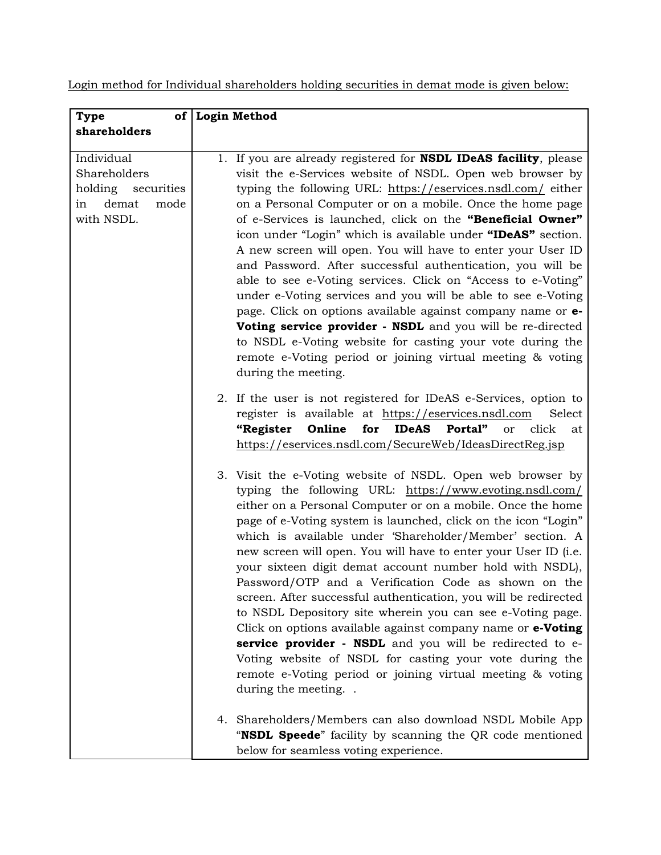Login method for Individual shareholders holding securities in demat mode is given below:

| <b>Type</b>         | of Login Method                                                                        |        |
|---------------------|----------------------------------------------------------------------------------------|--------|
| shareholders        |                                                                                        |        |
|                     |                                                                                        |        |
| Individual          | 1. If you are already registered for <b>NSDL IDeAS facility</b> , please               |        |
| Shareholders        | visit the e-Services website of NSDL. Open web browser by                              |        |
| holding securities  | typing the following URL: https://eservices.nsdl.com/ either                           |        |
| demat<br>mode<br>in | on a Personal Computer or on a mobile. Once the home page                              |        |
| with NSDL.          | of e-Services is launched, click on the "Beneficial Owner"                             |        |
|                     | icon under "Login" which is available under "IDeAS" section.                           |        |
|                     | A new screen will open. You will have to enter your User ID                            |        |
|                     | and Password. After successful authentication, you will be                             |        |
|                     | able to see e-Voting services. Click on "Access to e-Voting"                           |        |
|                     | under e-Voting services and you will be able to see e-Voting                           |        |
|                     | page. Click on options available against company name or e-                            |        |
|                     | Voting service provider - NSDL and you will be re-directed                             |        |
|                     | to NSDL e-Voting website for casting your vote during the                              |        |
|                     | remote e-Voting period or joining virtual meeting & voting                             |        |
|                     | during the meeting.                                                                    |        |
|                     | 2. If the user is not registered for IDeAS e-Services, option to                       |        |
|                     | register is available at https://eservices.nsdl.com                                    | Select |
|                     | Online<br><b>IDeAS</b><br>Portal"<br>click<br><b>"Register</b><br>for<br><sub>or</sub> | at     |
|                     | https://eservices.nsdl.com/SecureWeb/IdeasDirectReg.jsp                                |        |
|                     |                                                                                        |        |
|                     | 3. Visit the e-Voting website of NSDL. Open web browser by                             |        |
|                     | typing the following URL: https://www.evoting.nsdl.com/                                |        |
|                     | either on a Personal Computer or on a mobile. Once the home                            |        |
|                     | page of e-Voting system is launched, click on the icon "Login"                         |        |
|                     | which is available under 'Shareholder/Member' section. A                               |        |
|                     | new screen will open. You will have to enter your User ID (i.e.                        |        |
|                     | your sixteen digit demat account number hold with NSDL),                               |        |
|                     | Password/OTP and a Verification Code as shown on the                                   |        |
|                     | screen. After successful authentication, you will be redirected                        |        |
|                     | to NSDL Depository site wherein you can see e-Voting page.                             |        |
|                     | Click on options available against company name or e-Voting                            |        |
|                     | service provider - NSDL and you will be redirected to e-                               |        |
|                     | Voting website of NSDL for casting your vote during the                                |        |
|                     | remote e-Voting period or joining virtual meeting & voting                             |        |
|                     | during the meeting                                                                     |        |
|                     |                                                                                        |        |
|                     | 4. Shareholders/Members can also download NSDL Mobile App                              |        |
|                     | "NSDL Speede" facility by scanning the QR code mentioned                               |        |
|                     | below for seamless voting experience.                                                  |        |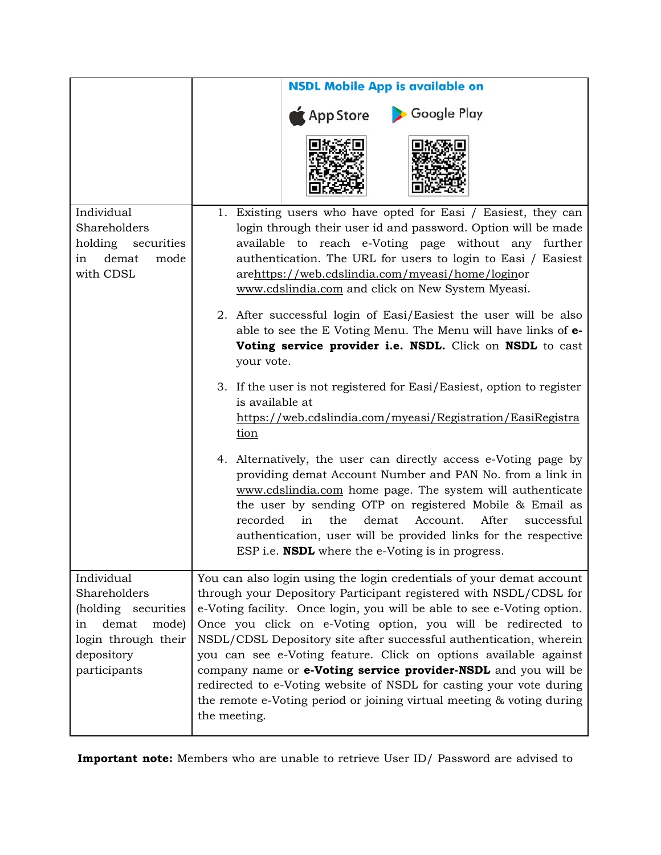|                                                                                                                                | <b>NSDL Mobile App is available on</b>                                                                                                                                                                                                                                                                                                                                                                                                                                                                                                                                                                                                                           |
|--------------------------------------------------------------------------------------------------------------------------------|------------------------------------------------------------------------------------------------------------------------------------------------------------------------------------------------------------------------------------------------------------------------------------------------------------------------------------------------------------------------------------------------------------------------------------------------------------------------------------------------------------------------------------------------------------------------------------------------------------------------------------------------------------------|
|                                                                                                                                | Google Play<br>App Store                                                                                                                                                                                                                                                                                                                                                                                                                                                                                                                                                                                                                                         |
|                                                                                                                                |                                                                                                                                                                                                                                                                                                                                                                                                                                                                                                                                                                                                                                                                  |
| Individual<br>Shareholders<br>holding<br>securities<br>demat<br>mode<br>in<br>with CDSL                                        | 1. Existing users who have opted for Easi / Easiest, they can<br>login through their user id and password. Option will be made<br>to reach e-Voting page without any further<br>available<br>authentication. The URL for users to login to Easi / Easiest<br>arehttps://web.cdslindia.com/myeasi/home/loginor<br>www.cdslindia.com and click on New System Myeasi.                                                                                                                                                                                                                                                                                               |
|                                                                                                                                | 2. After successful login of Easi/Easiest the user will be also<br>able to see the E Voting Menu. The Menu will have links of e-<br>Voting service provider i.e. NSDL. Click on NSDL to cast<br>your vote.                                                                                                                                                                                                                                                                                                                                                                                                                                                       |
|                                                                                                                                | 3. If the user is not registered for Easi/Easiest, option to register<br>is available at<br>https://web.cdslindia.com/myeasi/Registration/EasiRegistra<br>tion                                                                                                                                                                                                                                                                                                                                                                                                                                                                                                   |
|                                                                                                                                | 4. Alternatively, the user can directly access e-Voting page by<br>providing demat Account Number and PAN No. from a link in<br>www.cdslindia.com home page. The system will authenticate<br>the user by sending OTP on registered Mobile & Email as<br>recorded<br>in<br>the<br>demat<br>Account.<br>After<br>successful<br>authentication, user will be provided links for the respective<br>ESP i.e. <b>NSDL</b> where the e-Voting is in progress.                                                                                                                                                                                                           |
| Individual<br>Shareholders<br>(holding securities<br>demat<br>mode)<br>ın<br>login through their<br>depository<br>participants | You can also login using the login credentials of your demat account<br>through your Depository Participant registered with NSDL/CDSL for<br>e-Voting facility. Once login, you will be able to see e-Voting option.<br>Once you click on e-Voting option, you will be redirected to<br>NSDL/CDSL Depository site after successful authentication, wherein<br>you can see e-Voting feature. Click on options available against<br>company name or e-Voting service provider-NSDL and you will be<br>redirected to e-Voting website of NSDL for casting your vote during<br>the remote e-Voting period or joining virtual meeting & voting during<br>the meeting. |

**Important note:** Members who are unable to retrieve User ID/ Password are advised to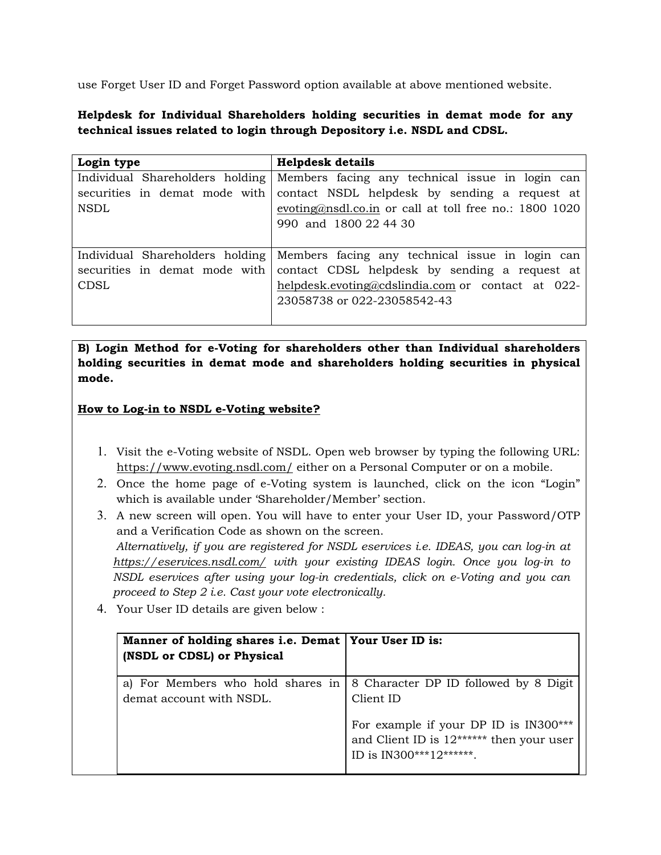use Forget User ID and Forget Password option available at above mentioned website.

## **Helpdesk for Individual Shareholders holding securities in demat mode for any technical issues related to login through Depository i.e. NSDL and CDSL.**

| Login type                    | <b>Helpdesk details</b>                                                           |
|-------------------------------|-----------------------------------------------------------------------------------|
|                               | Individual Shareholders holding Members facing any technical issue in login can   |
| securities in demat mode with | contact NSDL helpdesk by sending a request at                                     |
| NSDL                          | evoting@nsdl.co.in or call at toll free no.: $1800$ 1020                          |
|                               | 990 and 1800 22 44 30                                                             |
|                               |                                                                                   |
|                               | Individual Shareholders holding   Members facing any technical issue in login can |
| securities in demat mode with | contact CDSL helpdesk by sending a request at                                     |
| CDSL                          | helpdesk.evoting@cdslindia.com or contact at 022-                                 |
|                               | 23058738 or 022-23058542-43                                                       |
|                               |                                                                                   |

**B) Login Method for e-Voting for shareholders other than Individual shareholders holding securities in demat mode and shareholders holding securities in physical mode.** 

## **How to Log-in to NSDL e-Voting website?**

- 1. Visit the e-Voting website of NSDL. Open web browser by typing the following URL: https://www.evoting.nsdl.com/ either on a Personal Computer or on a mobile.
- 2. Once the home page of e-Voting system is launched, click on the icon "Login" which is available under 'Shareholder/Member' section.
- 3. A new screen will open. You will have to enter your User ID, your Password/OTP and a Verification Code as shown on the screen. *Alternatively, if you are registered for NSDL eservices i.e. IDEAS, you can log-in at https://eservices.nsdl.com/ with your existing IDEAS login. Once you log-in to NSDL eservices after using your log-in credentials, click on e-Voting and you can proceed to Step 2 i.e. Cast your vote electronically.*
- 4. Your User ID details are given below :

| Manner of holding shares i.e. Demat   Your User ID is:<br>(NSDL or CDSL) or Physical |                                                                                                                |
|--------------------------------------------------------------------------------------|----------------------------------------------------------------------------------------------------------------|
| a) For Members who hold shares in<br>demat account with NSDL.                        | 8 Character DP ID followed by 8 Digit<br>Client ID                                                             |
|                                                                                      | For example if your DP ID is IN300***<br>and Client ID is $12*****$ then your user<br>ID is IN300***12*******. |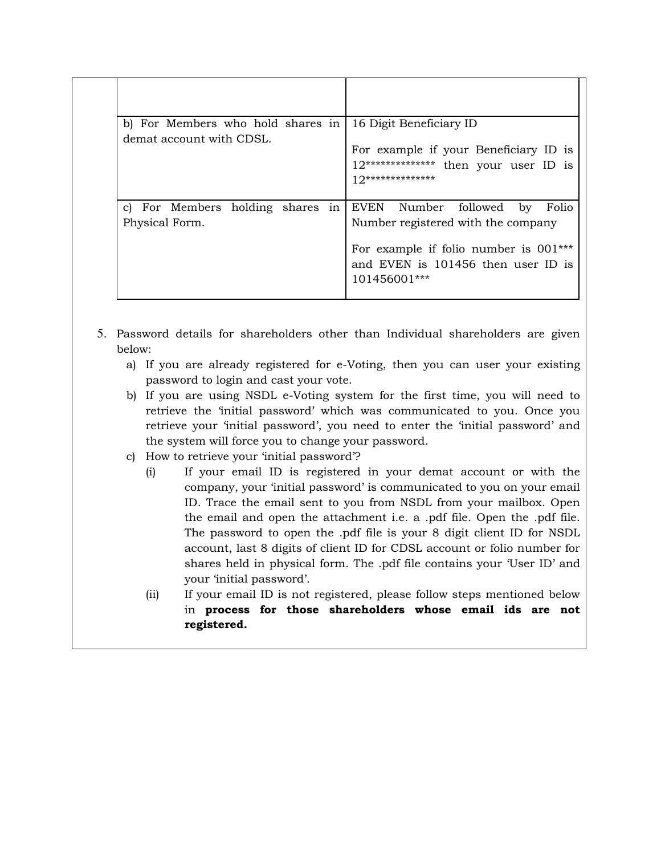| b) For Members who hold shares in<br>demat account with CDSL. | 16 Digit Beneficiary ID<br>For example if your Beneficiary ID is<br>12************** then your user ID is<br>$10*******************$                                       |
|---------------------------------------------------------------|----------------------------------------------------------------------------------------------------------------------------------------------------------------------------|
| c) For Members holding shares<br>in<br>Physical Form.         | EVEN Number followed<br>by<br>Folio<br>Number registered with the company<br>For example if folio number is $001***$<br>and EVEN is 101456 then user ID is<br>101456001*** |

- 5. Password details for shareholders other than Individual shareholders are given below:
	- a) If you are already registered for e-Voting, then you can user your existing password to login and cast your vote.
	- b) If you are using NSDL e-Voting system for the first time, you will need to retrieve the 'initial password' which was communicated to you. Once you retrieve your 'initial password', you need to enter the 'initial password' and the system will force you to change your password.
	- c) How to retrieve your 'initial password'?
		- (i) If your email ID is registered in your demat account or with the company, your 'initial password' is communicated to you on your email ID. Trace the email sent to you from NSDL from your mailbox. Open the email and open the attachment i.e. a .pdf file. Open the .pdf file. The password to open the .pdf file is your 8 digit client ID for NSDL account, last 8 digits of client ID for CDSL account or folio number for shares held in physical form. The .pdf file contains your 'User ID' and your 'initial password'.
		- (ii) If your email ID is not registered, please follow steps mentioned below in **process for those shareholders whose email ids are not registered.**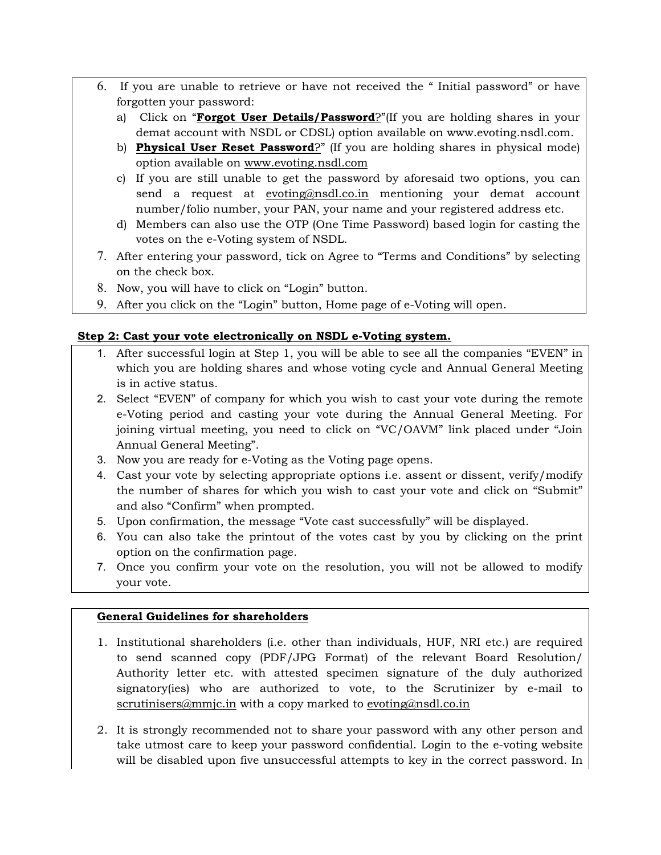- 6. If you are unable to retrieve or have not received the " Initial password" or have forgotten your password:
	- a) Click on "**Forgot User Details/Password**?"(If you are holding shares in your demat account with NSDL or CDSL) option available on www.evoting.nsdl.com.
	- b) **Physical User Reset Password**?" (If you are holding shares in physical mode) option available on www.evoting.nsdl.com
	- c) If you are still unable to get the password by aforesaid two options, you can send a request at evoting@nsdl.co.in mentioning your demat account number/folio number, your PAN, your name and your registered address etc.
	- d) Members can also use the OTP (One Time Password) based login for casting the votes on the e-Voting system of NSDL.
- 7. After entering your password, tick on Agree to "Terms and Conditions" by selecting on the check box.
- 8. Now, you will have to click on "Login" button.
- 9. After you click on the "Login" button, Home page of e-Voting will open.

## **Step 2: Cast your vote electronically on NSDL e-Voting system.**

- 1. After successful login at Step 1, you will be able to see all the companies "EVEN" in which you are holding shares and whose voting cycle and Annual General Meeting is in active status.
- 2. Select "EVEN" of company for which you wish to cast your vote during the remote e-Voting period and casting your vote during the Annual General Meeting. For joining virtual meeting, you need to click on "VC/OAVM" link placed under "Join Annual General Meeting".
- 3. Now you are ready for e-Voting as the Voting page opens.
- 4. Cast your vote by selecting appropriate options i.e. assent or dissent, verify/modify the number of shares for which you wish to cast your vote and click on "Submit" and also "Confirm" when prompted.
- 5. Upon confirmation, the message "Vote cast successfully" will be displayed.
- 6. You can also take the printout of the votes cast by you by clicking on the print option on the confirmation page.
- 7. Once you confirm your vote on the resolution, you will not be allowed to modify your vote.

## **General Guidelines for shareholders**

- 1. Institutional shareholders (i.e. other than individuals, HUF, NRI etc.) are required to send scanned copy (PDF/JPG Format) of the relevant Board Resolution/ Authority letter etc. with attested specimen signature of the duly authorized signatory(ies) who are authorized to vote, to the Scrutinizer by e-mail to scrutinisers@mmjc.in with a copy marked to evoting@nsdl.co.in
- 2. It is strongly recommended not to share your password with any other person and take utmost care to keep your password confidential. Login to the e-voting website will be disabled upon five unsuccessful attempts to key in the correct password. In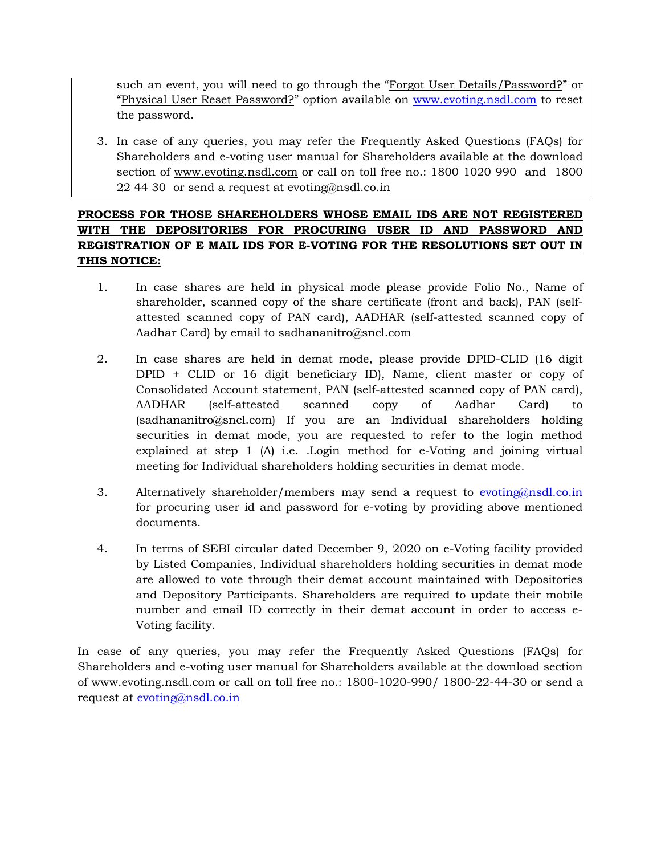such an event, you will need to go through the "Forgot User Details/Password?" or "Physical User Reset Password?" option available on www.evoting.nsdl.com to reset the password.

3. In case of any queries, you may refer the Frequently Asked Questions (FAQs) for Shareholders and e-voting user manual for Shareholders available at the download section of www.evoting.nsdl.com or call on toll free no.: 1800 1020 990 and 1800 22 44 30 or send a request at evoting@nsdl.co.in

## **PROCESS FOR THOSE SHAREHOLDERS WHOSE EMAIL IDS ARE NOT REGISTERED WITH THE DEPOSITORIES FOR PROCURING USER ID AND PASSWORD AND REGISTRATION OF E MAIL IDS FOR E-VOTING FOR THE RESOLUTIONS SET OUT IN THIS NOTICE:**

- 1. In case shares are held in physical mode please provide Folio No., Name of shareholder, scanned copy of the share certificate (front and back), PAN (selfattested scanned copy of PAN card), AADHAR (self-attested scanned copy of Aadhar Card) by email to sadhananitro@sncl.com
- 2. In case shares are held in demat mode, please provide DPID-CLID (16 digit DPID + CLID or 16 digit beneficiary ID), Name, client master or copy of Consolidated Account statement, PAN (self-attested scanned copy of PAN card), AADHAR (self-attested scanned copy of Aadhar Card) to (sadhananitro@sncl.com) If you are an Individual shareholders holding securities in demat mode, you are requested to refer to the login method explained at step 1 (A) i.e. .Login method for e-Voting and joining virtual meeting for Individual shareholders holding securities in demat mode.
- 3. Alternatively shareholder/members may send a request to evoting@nsdl.co.in for procuring user id and password for e-voting by providing above mentioned documents.
- 4. In terms of SEBI circular dated December 9, 2020 on e-Voting facility provided by Listed Companies, Individual shareholders holding securities in demat mode are allowed to vote through their demat account maintained with Depositories and Depository Participants. Shareholders are required to update their mobile number and email ID correctly in their demat account in order to access e-Voting facility.

In case of any queries, you may refer the Frequently Asked Questions (FAQs) for Shareholders and e-voting user manual for Shareholders available at the download section of www.evoting.nsdl.com or call on toll free no.: 1800-1020-990/ 1800-22-44-30 or send a request at evoting@nsdl.co.in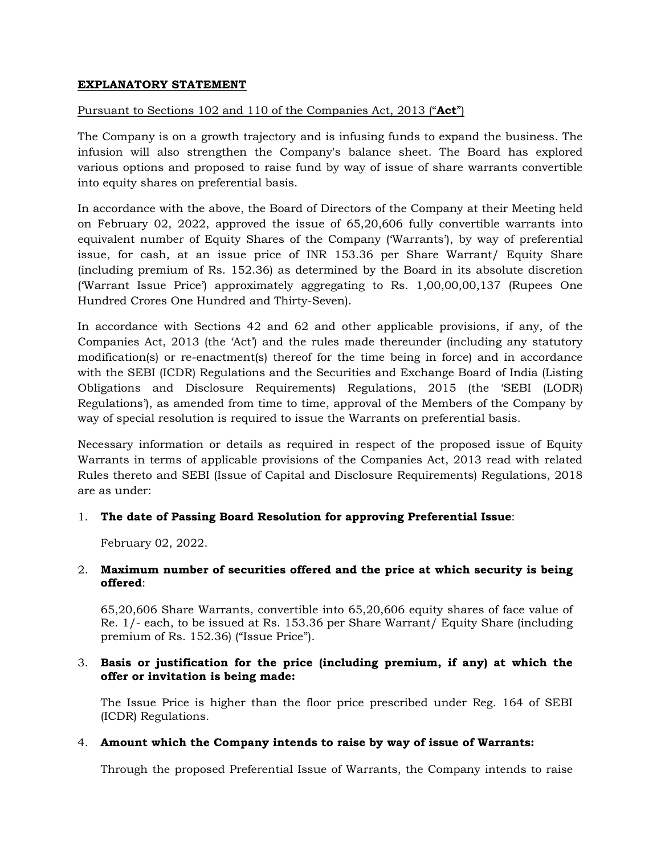## **EXPLANATORY STATEMENT**

## Pursuant to Sections 102 and 110 of the Companies Act, 2013 ("**Act**")

The Company is on a growth trajectory and is infusing funds to expand the business. The infusion will also strengthen the Company's balance sheet. The Board has explored various options and proposed to raise fund by way of issue of share warrants convertible into equity shares on preferential basis.

In accordance with the above, the Board of Directors of the Company at their Meeting held on February 02, 2022, approved the issue of 65,20,606 fully convertible warrants into equivalent number of Equity Shares of the Company ('Warrants'), by way of preferential issue, for cash, at an issue price of INR 153.36 per Share Warrant/ Equity Share (including premium of Rs. 152.36) as determined by the Board in its absolute discretion ('Warrant Issue Price') approximately aggregating to Rs. 1,00,00,00,137 (Rupees One Hundred Crores One Hundred and Thirty-Seven).

In accordance with Sections 42 and 62 and other applicable provisions, if any, of the Companies Act, 2013 (the 'Act') and the rules made thereunder (including any statutory modification(s) or re-enactment(s) thereof for the time being in force) and in accordance with the SEBI (ICDR) Regulations and the Securities and Exchange Board of India (Listing Obligations and Disclosure Requirements) Regulations, 2015 (the 'SEBI (LODR) Regulations'), as amended from time to time, approval of the Members of the Company by way of special resolution is required to issue the Warrants on preferential basis.

Necessary information or details as required in respect of the proposed issue of Equity Warrants in terms of applicable provisions of the Companies Act, 2013 read with related Rules thereto and SEBI (Issue of Capital and Disclosure Requirements) Regulations, 2018 are as under:

## 1. **The date of Passing Board Resolution for approving Preferential Issue**:

February 02, 2022.

## 2. **Maximum number of securities offered and the price at which security is being offered**:

65,20,606 Share Warrants, convertible into 65,20,606 equity shares of face value of Re. 1/- each, to be issued at Rs. 153.36 per Share Warrant/ Equity Share (including premium of Rs. 152.36) ("Issue Price").

#### 3. **Basis or justification for the price (including premium, if any) at which the offer or invitation is being made:**

The Issue Price is higher than the floor price prescribed under Reg. 164 of SEBI (ICDR) Regulations.

## 4. **Amount which the Company intends to raise by way of issue of Warrants:**

Through the proposed Preferential Issue of Warrants, the Company intends to raise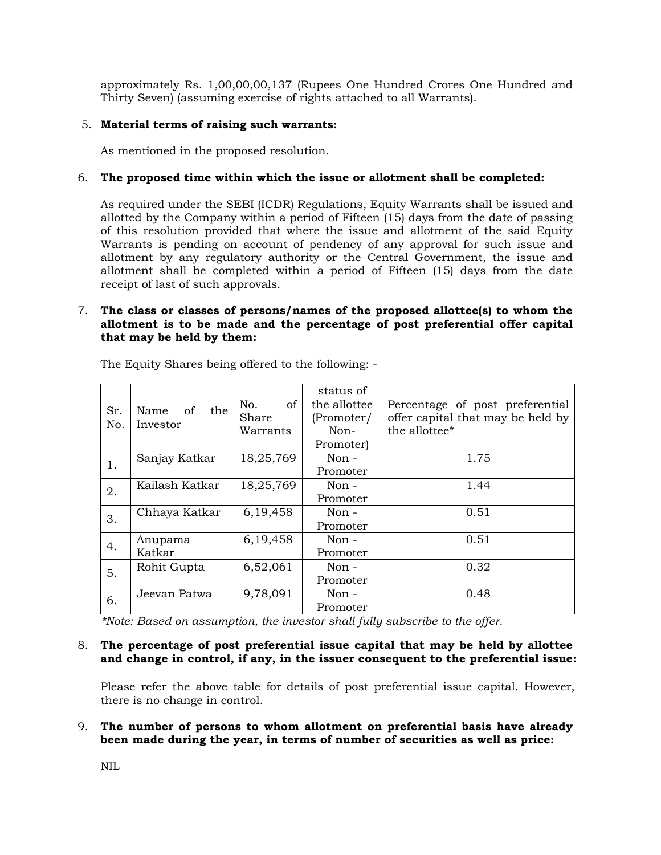approximately Rs. 1,00,00,00,137 (Rupees One Hundred Crores One Hundred and Thirty Seven) (assuming exercise of rights attached to all Warrants).

## 5. **Material terms of raising such warrants:**

As mentioned in the proposed resolution.

## 6. **The proposed time within which the issue or allotment shall be completed:**

As required under the SEBI (ICDR) Regulations, Equity Warrants shall be issued and allotted by the Company within a period of Fifteen (15) days from the date of passing of this resolution provided that where the issue and allotment of the said Equity Warrants is pending on account of pendency of any approval for such issue and allotment by any regulatory authority or the Central Government, the issue and allotment shall be completed within a period of Fifteen (15) days from the date receipt of last of such approvals.

#### 7. **The class or classes of persons/names of the proposed allottee(s) to whom the allotment is to be made and the percentage of post preferential offer capital that may be held by them:**

|     |                   |           | status of    |                                   |
|-----|-------------------|-----------|--------------|-----------------------------------|
| Sr. | Name<br>of<br>the | of<br>No. | the allottee | Percentage of post preferential   |
| No. | Investor          | Share     | (Promoter/   | offer capital that may be held by |
|     |                   | Warrants  | Non-         | the allottee <sup>*</sup>         |
|     |                   |           | Promoter)    |                                   |
| 1.  | Sanjay Katkar     | 18,25,769 | Non $-$      | 1.75                              |
|     |                   |           | Promoter     |                                   |
| 2.  | Kailash Katkar    | 18,25,769 | $Non -$      | 1.44                              |
|     |                   |           | Promoter     |                                   |
| 3.  | Chhaya Katkar     | 6,19,458  | $Non -$      | 0.51                              |
|     |                   |           | Promoter     |                                   |
|     | Anupama           | 6,19,458  | Non $-$      | 0.51                              |
| 4.  | Katkar            |           | Promoter     |                                   |
| 5.  | Rohit Gupta       | 6,52,061  | Non $-$      | 0.32                              |
|     |                   |           | Promoter     |                                   |
| 6.  | Jeevan Patwa      | 9,78,091  | Non -        | 0.48                              |
|     |                   |           | Promoter     |                                   |

The Equity Shares being offered to the following: -

*\*Note: Based on assumption, the investor shall fully subscribe to the offer.* 

#### 8. **The percentage of post preferential issue capital that may be held by allottee and change in control, if any, in the issuer consequent to the preferential issue:**

Please refer the above table for details of post preferential issue capital. However, there is no change in control.

#### 9. **The number of persons to whom allotment on preferential basis have already been made during the year, in terms of number of securities as well as price:**

NIL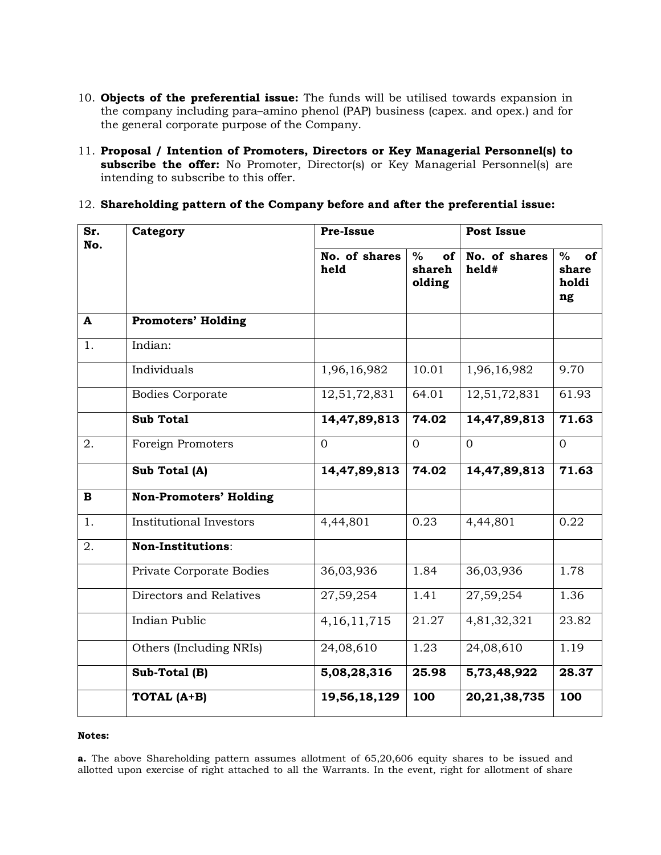- 10. **Objects of the preferential issue:** The funds will be utilised towards expansion in the company including para–amino phenol (PAP) business (capex. and opex.) and for the general corporate purpose of the Company.
- 11. **Proposal / Intention of Promoters, Directors or Key Managerial Personnel(s) to subscribe the offer:** No Promoter, Director(s) or Key Managerial Personnel(s) are intending to subscribe to this offer.
- 12. **Shareholding pattern of the Company before and after the preferential issue:**

| Sr.<br>No.   | Category                       | Pre-Issue             |                                | <b>Post Issue</b>      |                                    |
|--------------|--------------------------------|-----------------------|--------------------------------|------------------------|------------------------------------|
|              |                                | No. of shares<br>held | $\%$<br>of<br>shareh<br>olding | No. of shares<br>held# | $\%$<br>of<br>share<br>holdi<br>ng |
| A            | <b>Promoters' Holding</b>      |                       |                                |                        |                                    |
| 1.           | Indian:                        |                       |                                |                        |                                    |
|              | Individuals                    | 1,96,16,982           | 10.01                          | 1,96,16,982            | 9.70                               |
|              | Bodies Corporate               | 12,51,72,831          | 64.01                          | 12,51,72,831           | 61.93                              |
|              | <b>Sub Total</b>               | 14,47,89,813          | 74.02                          | 14,47,89,813           | 71.63                              |
| 2.           | Foreign Promoters              | $\overline{0}$        | $\overline{0}$                 | $\mathbf{0}$           | $\Omega$                           |
|              | Sub Total (A)                  | 14,47,89,813          | 74.02                          | 14,47,89,813           | 71.63                              |
| $\mathbf{B}$ | <b>Non-Promoters' Holding</b>  |                       |                                |                        |                                    |
| 1.           | <b>Institutional Investors</b> | 4,44,801              | 0.23                           | 4,44,801               | 0.22                               |
| 2.           | Non-Institutions:              |                       |                                |                        |                                    |
|              | Private Corporate Bodies       | 36,03,936             | 1.84                           | 36,03,936              | 1.78                               |
|              | Directors and Relatives        | 27,59,254             | 1.41                           | 27,59,254              | 1.36                               |
|              | Indian Public                  | 4, 16, 11, 715        | 21.27                          | 4,81,32,321            | 23.82                              |
|              | Others (Including NRIs)        | 24,08,610             | 1.23                           | 24,08,610              | 1.19                               |
|              | Sub-Total (B)                  | 5,08,28,316           | 25.98                          | 5,73,48,922            | 28.37                              |
|              | TOTAL (A+B)                    | 19,56,18,129          | 100                            | 20, 21, 38, 735        | 100                                |

#### **Notes:**

**a.** The above Shareholding pattern assumes allotment of 65,20,606 equity shares to be issued and allotted upon exercise of right attached to all the Warrants. In the event, right for allotment of share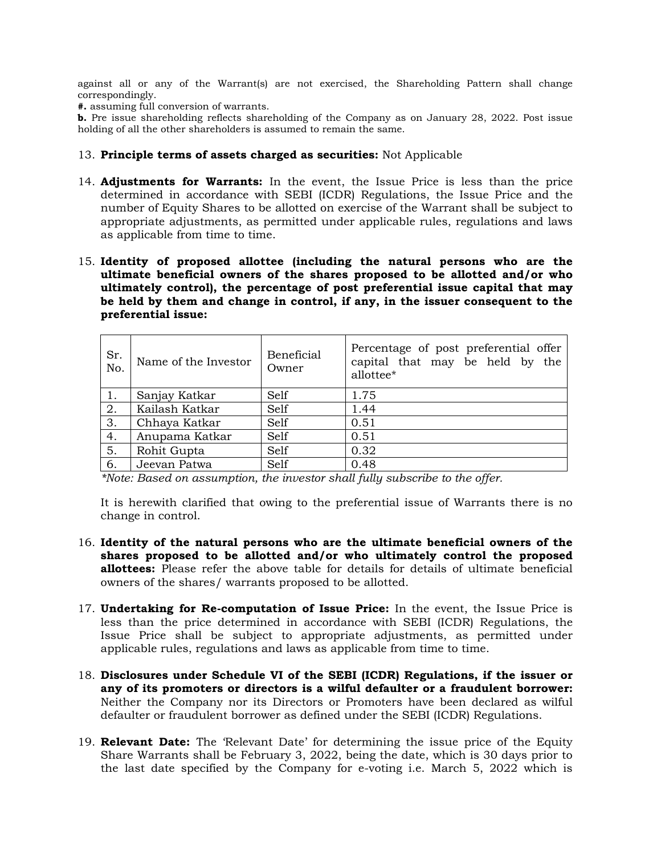against all or any of the Warrant(s) are not exercised, the Shareholding Pattern shall change correspondingly.

**#.** assuming full conversion of warrants.

**b.** Pre issue shareholding reflects shareholding of the Company as on January 28, 2022. Post issue holding of all the other shareholders is assumed to remain the same.

#### 13. **Principle terms of assets charged as securities:** Not Applicable

- 14. **Adjustments for Warrants:** In the event, the Issue Price is less than the price determined in accordance with SEBI (ICDR) Regulations, the Issue Price and the number of Equity Shares to be allotted on exercise of the Warrant shall be subject to appropriate adjustments, as permitted under applicable rules, regulations and laws as applicable from time to time.
- 15. **Identity of proposed allottee (including the natural persons who are the ultimate beneficial owners of the shares proposed to be allotted and/or who ultimately control), the percentage of post preferential issue capital that may be held by them and change in control, if any, in the issuer consequent to the preferential issue:**

| Sr.<br>No. | Name of the Investor | Beneficial<br>Owner | Percentage of post preferential offer<br>capital that may be held by the<br>allottee* |
|------------|----------------------|---------------------|---------------------------------------------------------------------------------------|
| 1.         | Sanjay Katkar        | Self                | 1.75                                                                                  |
| 2.         | Kailash Katkar       | Self                | 1.44                                                                                  |
| 3.         | Chhaya Katkar        | Self                | 0.51                                                                                  |
| 4.         | Anupama Katkar       | Self                | 0.51                                                                                  |
| 5.         | Rohit Gupta          | Self                | 0.32                                                                                  |
| 6.         | Jeevan Patwa         | Self                | 0.48                                                                                  |

*\*Note: Based on assumption, the investor shall fully subscribe to the offer.* 

It is herewith clarified that owing to the preferential issue of Warrants there is no change in control.

- 16. **Identity of the natural persons who are the ultimate beneficial owners of the shares proposed to be allotted and/or who ultimately control the proposed allottees:** Please refer the above table for details for details of ultimate beneficial owners of the shares/ warrants proposed to be allotted.
- 17. **Undertaking for Re-computation of Issue Price:** In the event, the Issue Price is less than the price determined in accordance with SEBI (ICDR) Regulations, the Issue Price shall be subject to appropriate adjustments, as permitted under applicable rules, regulations and laws as applicable from time to time.
- 18. **Disclosures under Schedule VI of the SEBI (ICDR) Regulations, if the issuer or any of its promoters or directors is a wilful defaulter or a fraudulent borrower:**  Neither the Company nor its Directors or Promoters have been declared as wilful defaulter or fraudulent borrower as defined under the SEBI (ICDR) Regulations.
- 19. **Relevant Date:** The 'Relevant Date' for determining the issue price of the Equity Share Warrants shall be February 3, 2022, being the date, which is 30 days prior to the last date specified by the Company for e-voting i.e. March 5, 2022 which is